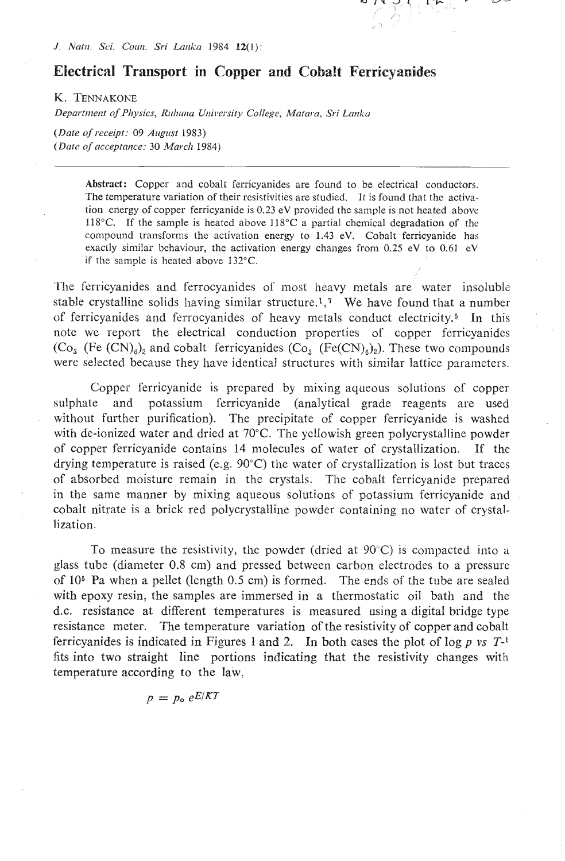

*J. Natn. Sci. Coun. Sri Lanka* 1984 **12**(1):

## **Electrical Transport in Copper and Cobalt Ferricyanides**

K. TENNAKONE

Department of Physics, Ruhuna University College, Matara, Sri Lanka

*(Dnte of receipt:* 09 *Auglrst* 1983) *(Dute of ncceptnnce:* 30 *Murclr* 1984)

> **Abstract:** Copper and cobalt ferricyanides are found to be electrical conductors. The temperature variation of their resistivities are studied. It is found that the activation energy of copper ferricyanide is 0.23 eV provided the sample is not heated above 118°C. If the sample is heated above  $118$ °C a partial chemical degradation of the compound transforms the activation energy to  $1.43$  eV. Cobalt ferricyanide has exactly sinlilar behaviour, the activation energy changes from 0.25 eV to **0.61 cV**  if the sample is heated above 132°C.

The ferricyanides and ferrocyanides of most heavy metals are water insoluble stable crystalline solids having similar structure.<sup>1</sup>,<sup>7</sup> We have found that a number of ferricyanides and ferrocyanides of heavy metals conduct electricity.<sup>5</sup> In this note wc report the electrical conduction properties of copper ferricyanides  $(Co<sub>3</sub>$  (Fe  $(CN)<sub>6</sub>$ )<sub>2</sub> and cobalt ferricyanides  $(Co<sub>3</sub>$  (Fe(CN)<sub>6</sub>)<sub>2</sub>). These two compounds were selected because they have identical structures with similar lattice parameters.

Copper ferricyanide is prcpared by mixing aqueous solutions of coppersulphate and potassium ferricyanide (analytical grade reagents are used without further purification). The precipitate of copper ferricyanide is washed with de-ionized water and dried at 70°C. The yellowish green polycrystalline powder of copper ferricyanide contains 14 molecules of water of crystallization. IF thc drying temperature is raised (e.g.  $90^{\circ}$ C) the water of crystallization is lost but traces of absorbed moisture remain in the crystals. Thc cobalt ferricyanide prepared in the same manner by mixing aqueous solutions of potassium ferricyanide and cobalt nitrate is a brick red polycrystalline powder containing no water of crystallization.

To measure the resistivity, the powder (dried at  $90^{\circ}$ C) is compacted into a glass tube (diameter 0.8 cm) and pressed between carbon electrodes to a pressure of  $10<sup>6</sup>$  Pa when a pellet (length 0.5 cm) is formed. The ends of the tube are sealed with epoxy resin, the samples are immersed in a thermostatic oil bath and the d.c. resistance at different temperatures is measured using a digital bridge type resistance meter. The temperature variation of the resistivity of copper and cobalt ferricyanides is indicated in Figures 1 and 2. In both cases the plot of  $\log p$  *vs*  $T^{-1}$ fits into two straight line portions indicating that the resistivity changes with temperature according to the law,

 $p = p_{o} eE/KT$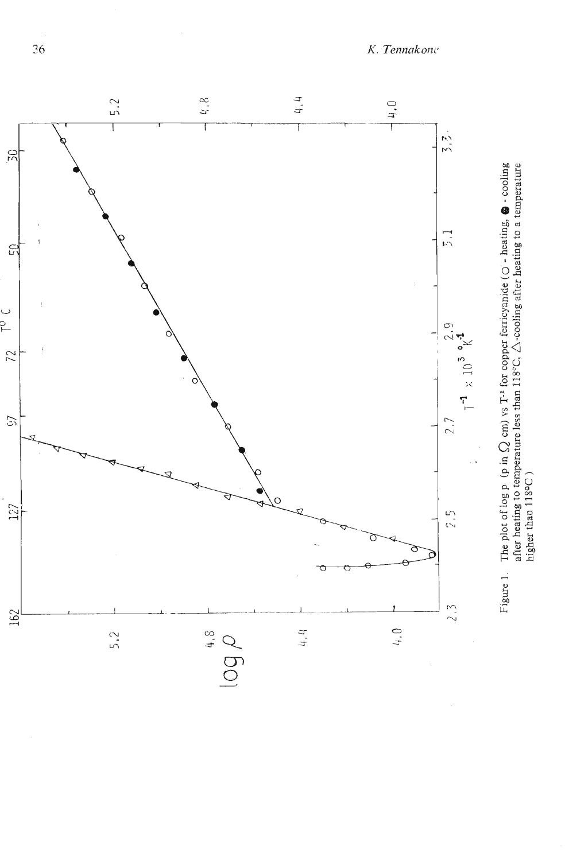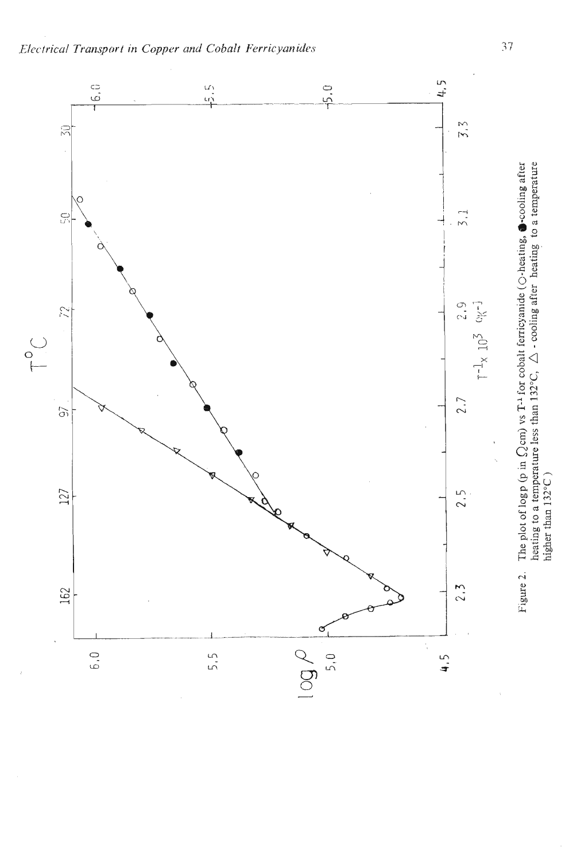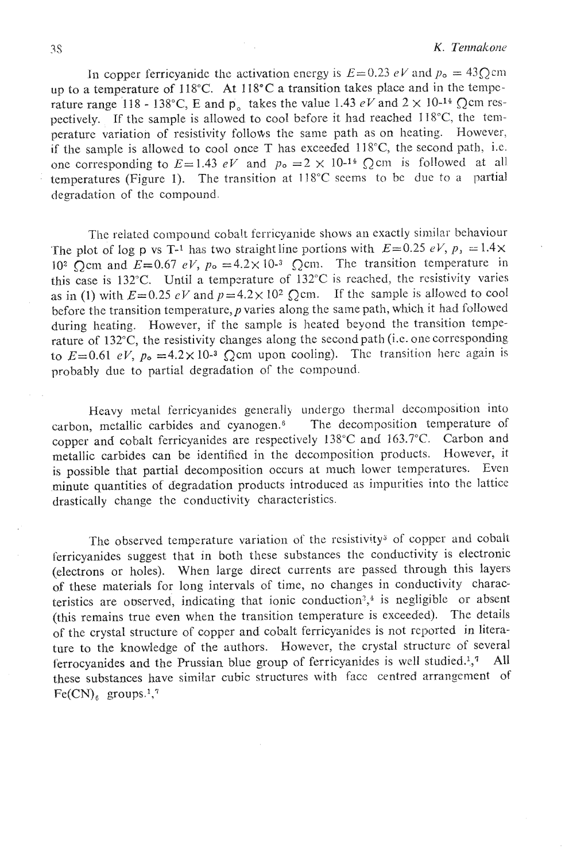In copper ferricyanide the activation energy is  $E=0.23$  *eV* and  $p_0 = 43Q$ cm up to a temperature of  $118^{\circ}$ C. At  $118^{\circ}$ C a transition takes place and in the temperature range 118 - 138°C, E and p<sub>a</sub> takes the value 1.43  $eV$  and  $2 \times 10^{-14}$  Qcm respectively. If the sample is allowed to cool before it had reached  $118^{\circ}$ C, the temperature variation of resistivity follows the same path as on heating. However, if the sample is allowed to cool once T has exceeded  $118^{\circ}$ C, the second path, i.e. one corresponding to  $E=1.43$  *eV* and  $p_0=2 \times 10^{-14}$  Q cm is followed at all temperatures (Figure 1). The transition at 118°C seems to be due to a partial degradation of the compound.

The related compound cobalt ferricyanide shows an exactly similar behaviour The plot of log p vs T<sup>-1</sup> has two straightline portions with  $E=0.25 eV$ ,  $p_1 = 1.4 \times$ 10<sup>2</sup> Ocm and  $E=0.67$  eV,  $p_0 = 4.2 \times 10^{-3}$  Ocm. The transition temperature in this case is 132°C. Until a temperature of 132°C is reached, the resistivity varies as in (1) with  $E=0.25$  eV and  $p=4.2\times10^2$  Q cm. If the sample is allowed to cool before the transition temperature,  $p$  varies along the same path, which it had followed during heating. However, if the sample is heated beyond the transition temperature of 132°C, the resistivity changes along the second path (i.e. one corresponding to  $E=0.61$  eV,  $p_0 = 4.2 \times 10^{-3}$  Qcm upon cooling). The transition here again is probably due to partial degradation of the compound.

Heavy metal ferricyanides generally undergo thermal decomposition into carbon, metallic carbides and cyanogen.6 The decomposition temperature of copper and cobalt ferricyanides are respectively 138°C and **163.7"C.** Carbon and metallic carbides can be identified in the decomposition products. However, it is possible that partial decomposition occurs at much lower temperatures. Even minute quantities of degradation products introduced as impurities into the lattice drastically change the conductivity characteristics.

The observed temperature variation of the resistivity<sup>3</sup> of copper and cobalt ferricyanides suggest that in both these substances the conductivity is electronic (electrons or holes). When large direct currents are passed through this layers of these materials for long intervals of time, no changes in conductivity characteristics are observed, indicating that ionic conduction<sup>2</sup>,<sup> $4$ </sup> is negligible or absent (this remains true even when the transition temperature is exceeded). The details of the crystal structure of copper and cobalt ferricyanides is not rcported in litersture to the knowledge of the authors. However, the crystal structure of several ferrocyanides and the Prussian blue group of ferricyanides is well studied.<sup>1</sup>,<sup>7</sup> All these substances have similar cubic structures with face centred arrangement of  $Fe(CN)$ , groups.<sup>1</sup>,<sup>7</sup>